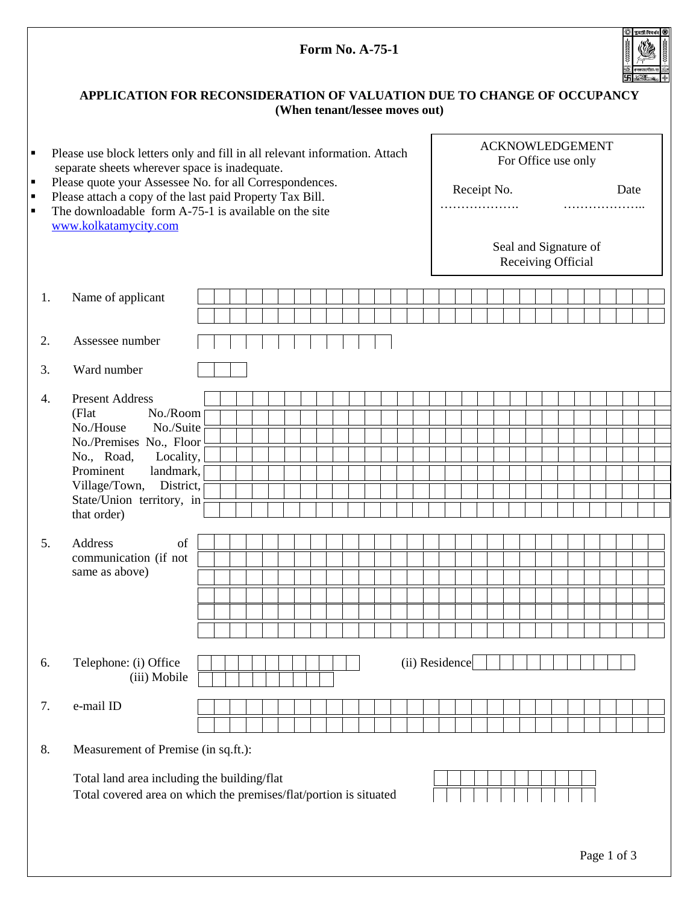|                                                                                                           | <b>Form No. A-75-1</b>                                                                                                                                                                                                                                                                                                                        |  |  |  |  |  |  |  |  |  |  |  |                |                                               |  |                                                                              |  | §়   সুরশ্রী বিবর্ধন   ∰ |  |  |             |  |  |  |  |  |  |  |  |
|-----------------------------------------------------------------------------------------------------------|-----------------------------------------------------------------------------------------------------------------------------------------------------------------------------------------------------------------------------------------------------------------------------------------------------------------------------------------------|--|--|--|--|--|--|--|--|--|--|--|----------------|-----------------------------------------------|--|------------------------------------------------------------------------------|--|--------------------------|--|--|-------------|--|--|--|--|--|--|--|--|
| APPLICATION FOR RECONSIDERATION OF VALUATION DUE TO CHANGE OF OCCUPANCY<br>(When tenant/lessee moves out) |                                                                                                                                                                                                                                                                                                                                               |  |  |  |  |  |  |  |  |  |  |  |                |                                               |  |                                                                              |  |                          |  |  |             |  |  |  |  |  |  |  |  |
| $\blacksquare$<br>$\blacksquare$                                                                          | Please use block letters only and fill in all relevant information. Attach<br>separate sheets wherever space is inadequate.<br>Please quote your Assessee No. for all Correspondences.                                                                                                                                                        |  |  |  |  |  |  |  |  |  |  |  |                | <b>ACKNOWLEDGEMENT</b><br>For Office use only |  |                                                                              |  |                          |  |  |             |  |  |  |  |  |  |  |  |
| $\blacksquare$<br>$\blacksquare$                                                                          | Please attach a copy of the last paid Property Tax Bill.<br>The downloadable form A-75-1 is available on the site<br>www.kolkatamycity.com                                                                                                                                                                                                    |  |  |  |  |  |  |  |  |  |  |  |                |                                               |  | Receipt No.<br>Date<br>.<br>.<br>Seal and Signature of<br>Receiving Official |  |                          |  |  |             |  |  |  |  |  |  |  |  |
|                                                                                                           |                                                                                                                                                                                                                                                                                                                                               |  |  |  |  |  |  |  |  |  |  |  |                |                                               |  |                                                                              |  |                          |  |  |             |  |  |  |  |  |  |  |  |
| 1.                                                                                                        | Name of applicant                                                                                                                                                                                                                                                                                                                             |  |  |  |  |  |  |  |  |  |  |  |                |                                               |  |                                                                              |  |                          |  |  |             |  |  |  |  |  |  |  |  |
| 2.                                                                                                        | Assessee number                                                                                                                                                                                                                                                                                                                               |  |  |  |  |  |  |  |  |  |  |  |                |                                               |  |                                                                              |  |                          |  |  |             |  |  |  |  |  |  |  |  |
| 3.                                                                                                        | Ward number                                                                                                                                                                                                                                                                                                                                   |  |  |  |  |  |  |  |  |  |  |  |                |                                               |  |                                                                              |  |                          |  |  |             |  |  |  |  |  |  |  |  |
| 4.<br>5.                                                                                                  | <b>Present Address</b><br>No./Room<br>(Flat<br>No./House<br>No./Suite<br>No./Premises No., Floor<br>No., Road,<br>Locality,<br>Prominent<br>landmark,<br>Village/Town, District,<br>State/Union territory, in<br>that order)<br>$% \left( \left( \mathcal{A},\mathcal{A}\right) \right) =\left( \mathcal{A},\mathcal{A}\right)$ of<br>Address |  |  |  |  |  |  |  |  |  |  |  |                |                                               |  |                                                                              |  |                          |  |  |             |  |  |  |  |  |  |  |  |
|                                                                                                           | communication (if not<br>same as above)                                                                                                                                                                                                                                                                                                       |  |  |  |  |  |  |  |  |  |  |  |                |                                               |  |                                                                              |  |                          |  |  |             |  |  |  |  |  |  |  |  |
| 6.                                                                                                        | Telephone: (i) Office<br>(iii) Mobile                                                                                                                                                                                                                                                                                                         |  |  |  |  |  |  |  |  |  |  |  | (ii) Residence |                                               |  |                                                                              |  |                          |  |  |             |  |  |  |  |  |  |  |  |
| 7.                                                                                                        | e-mail ID                                                                                                                                                                                                                                                                                                                                     |  |  |  |  |  |  |  |  |  |  |  |                |                                               |  |                                                                              |  |                          |  |  |             |  |  |  |  |  |  |  |  |
| 8.                                                                                                        | Measurement of Premise (in sq.ft.):                                                                                                                                                                                                                                                                                                           |  |  |  |  |  |  |  |  |  |  |  |                |                                               |  |                                                                              |  |                          |  |  |             |  |  |  |  |  |  |  |  |
|                                                                                                           | Total land area including the building/flat<br>Total covered area on which the premises/flat/portion is situated                                                                                                                                                                                                                              |  |  |  |  |  |  |  |  |  |  |  |                |                                               |  |                                                                              |  |                          |  |  |             |  |  |  |  |  |  |  |  |
|                                                                                                           |                                                                                                                                                                                                                                                                                                                                               |  |  |  |  |  |  |  |  |  |  |  |                |                                               |  |                                                                              |  |                          |  |  | Page 1 of 3 |  |  |  |  |  |  |  |  |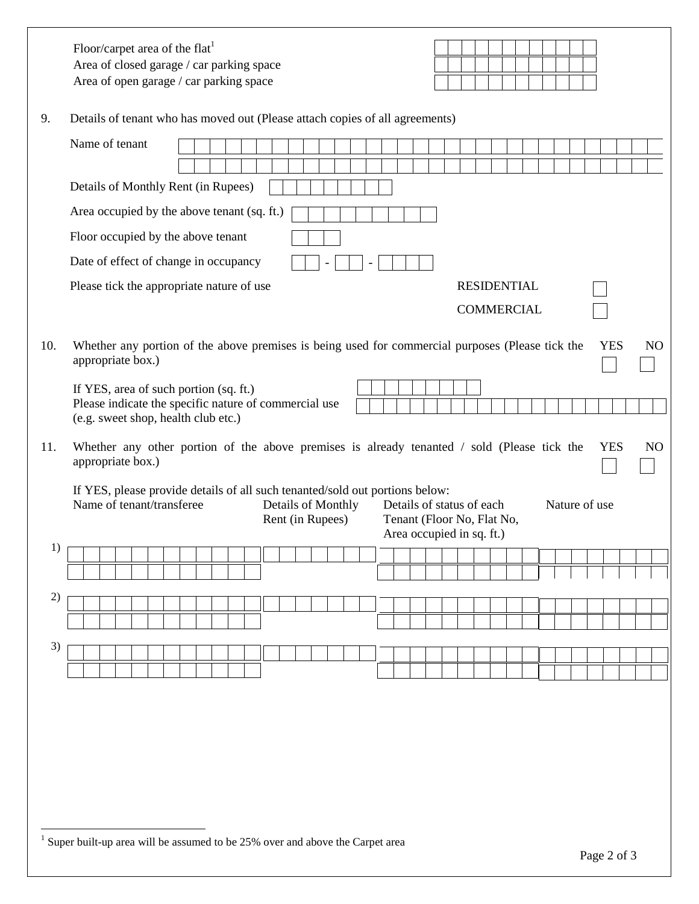|     | Floor/carpet area of the flat <sup>1</sup><br>Area of closed garage / car parking space<br>Area of open garage / car parking space                                                                                                                           |                                                                                                |  |  |  |  |  |  |  |  |  |  |  |  |  |  |  |  |  |  |  |  |  |  |  |  |  |  |  |  |  |  |  |
|-----|--------------------------------------------------------------------------------------------------------------------------------------------------------------------------------------------------------------------------------------------------------------|------------------------------------------------------------------------------------------------|--|--|--|--|--|--|--|--|--|--|--|--|--|--|--|--|--|--|--|--|--|--|--|--|--|--|--|--|--|--|--|
| 9.  |                                                                                                                                                                                                                                                              | Details of tenant who has moved out (Please attach copies of all agreements)<br>Name of tenant |  |  |  |  |  |  |  |  |  |  |  |  |  |  |  |  |  |  |  |  |  |  |  |  |  |  |  |  |  |  |  |
|     |                                                                                                                                                                                                                                                              |                                                                                                |  |  |  |  |  |  |  |  |  |  |  |  |  |  |  |  |  |  |  |  |  |  |  |  |  |  |  |  |  |  |  |
|     | Details of Monthly Rent (in Rupees)                                                                                                                                                                                                                          |                                                                                                |  |  |  |  |  |  |  |  |  |  |  |  |  |  |  |  |  |  |  |  |  |  |  |  |  |  |  |  |  |  |  |
|     | Area occupied by the above tenant (sq. ft.)                                                                                                                                                                                                                  |                                                                                                |  |  |  |  |  |  |  |  |  |  |  |  |  |  |  |  |  |  |  |  |  |  |  |  |  |  |  |  |  |  |  |
|     | Floor occupied by the above tenant                                                                                                                                                                                                                           |                                                                                                |  |  |  |  |  |  |  |  |  |  |  |  |  |  |  |  |  |  |  |  |  |  |  |  |  |  |  |  |  |  |  |
|     | Date of effect of change in occupancy                                                                                                                                                                                                                        |                                                                                                |  |  |  |  |  |  |  |  |  |  |  |  |  |  |  |  |  |  |  |  |  |  |  |  |  |  |  |  |  |  |  |
|     |                                                                                                                                                                                                                                                              | Please tick the appropriate nature of use<br><b>RESIDENTIAL</b>                                |  |  |  |  |  |  |  |  |  |  |  |  |  |  |  |  |  |  |  |  |  |  |  |  |  |  |  |  |  |  |  |
|     |                                                                                                                                                                                                                                                              | <b>COMMERCIAL</b>                                                                              |  |  |  |  |  |  |  |  |  |  |  |  |  |  |  |  |  |  |  |  |  |  |  |  |  |  |  |  |  |  |  |
| 10. | Whether any portion of the above premises is being used for commercial purposes (Please tick the<br><b>YES</b><br>N <sub>O</sub><br>appropriate box.)                                                                                                        |                                                                                                |  |  |  |  |  |  |  |  |  |  |  |  |  |  |  |  |  |  |  |  |  |  |  |  |  |  |  |  |  |  |  |
|     | If YES, area of such portion (sq. ft.)<br>Please indicate the specific nature of commercial use                                                                                                                                                              |                                                                                                |  |  |  |  |  |  |  |  |  |  |  |  |  |  |  |  |  |  |  |  |  |  |  |  |  |  |  |  |  |  |  |
|     | (e.g. sweet shop, health club etc.)                                                                                                                                                                                                                          |                                                                                                |  |  |  |  |  |  |  |  |  |  |  |  |  |  |  |  |  |  |  |  |  |  |  |  |  |  |  |  |  |  |  |
| 11. | Whether any other portion of the above premises is already tenanted / sold (Please tick the<br><b>YES</b><br>N <sub>O</sub><br>appropriate box.)                                                                                                             |                                                                                                |  |  |  |  |  |  |  |  |  |  |  |  |  |  |  |  |  |  |  |  |  |  |  |  |  |  |  |  |  |  |  |
|     | If YES, please provide details of all such tenanted/sold out portions below:<br>Name of tenant/transferee<br>Details of Monthly<br>Details of status of each<br>Nature of use<br>Rent (in Rupees)<br>Tenant (Floor No, Flat No,<br>Area occupied in sq. ft.) |                                                                                                |  |  |  |  |  |  |  |  |  |  |  |  |  |  |  |  |  |  |  |  |  |  |  |  |  |  |  |  |  |  |  |
| 1)  |                                                                                                                                                                                                                                                              |                                                                                                |  |  |  |  |  |  |  |  |  |  |  |  |  |  |  |  |  |  |  |  |  |  |  |  |  |  |  |  |  |  |  |
|     |                                                                                                                                                                                                                                                              |                                                                                                |  |  |  |  |  |  |  |  |  |  |  |  |  |  |  |  |  |  |  |  |  |  |  |  |  |  |  |  |  |  |  |
| 2)  |                                                                                                                                                                                                                                                              |                                                                                                |  |  |  |  |  |  |  |  |  |  |  |  |  |  |  |  |  |  |  |  |  |  |  |  |  |  |  |  |  |  |  |
|     |                                                                                                                                                                                                                                                              |                                                                                                |  |  |  |  |  |  |  |  |  |  |  |  |  |  |  |  |  |  |  |  |  |  |  |  |  |  |  |  |  |  |  |
| 3)  |                                                                                                                                                                                                                                                              |                                                                                                |  |  |  |  |  |  |  |  |  |  |  |  |  |  |  |  |  |  |  |  |  |  |  |  |  |  |  |  |  |  |  |
|     |                                                                                                                                                                                                                                                              |                                                                                                |  |  |  |  |  |  |  |  |  |  |  |  |  |  |  |  |  |  |  |  |  |  |  |  |  |  |  |  |  |  |  |
|     |                                                                                                                                                                                                                                                              |                                                                                                |  |  |  |  |  |  |  |  |  |  |  |  |  |  |  |  |  |  |  |  |  |  |  |  |  |  |  |  |  |  |  |
|     |                                                                                                                                                                                                                                                              |                                                                                                |  |  |  |  |  |  |  |  |  |  |  |  |  |  |  |  |  |  |  |  |  |  |  |  |  |  |  |  |  |  |  |
|     |                                                                                                                                                                                                                                                              |                                                                                                |  |  |  |  |  |  |  |  |  |  |  |  |  |  |  |  |  |  |  |  |  |  |  |  |  |  |  |  |  |  |  |
|     |                                                                                                                                                                                                                                                              |                                                                                                |  |  |  |  |  |  |  |  |  |  |  |  |  |  |  |  |  |  |  |  |  |  |  |  |  |  |  |  |  |  |  |
|     |                                                                                                                                                                                                                                                              |                                                                                                |  |  |  |  |  |  |  |  |  |  |  |  |  |  |  |  |  |  |  |  |  |  |  |  |  |  |  |  |  |  |  |
|     |                                                                                                                                                                                                                                                              |                                                                                                |  |  |  |  |  |  |  |  |  |  |  |  |  |  |  |  |  |  |  |  |  |  |  |  |  |  |  |  |  |  |  |
|     | $1$ Super built-up area will be assumed to be 25% over and above the Carpet area                                                                                                                                                                             |                                                                                                |  |  |  |  |  |  |  |  |  |  |  |  |  |  |  |  |  |  |  |  |  |  |  |  |  |  |  |  |  |  |  |